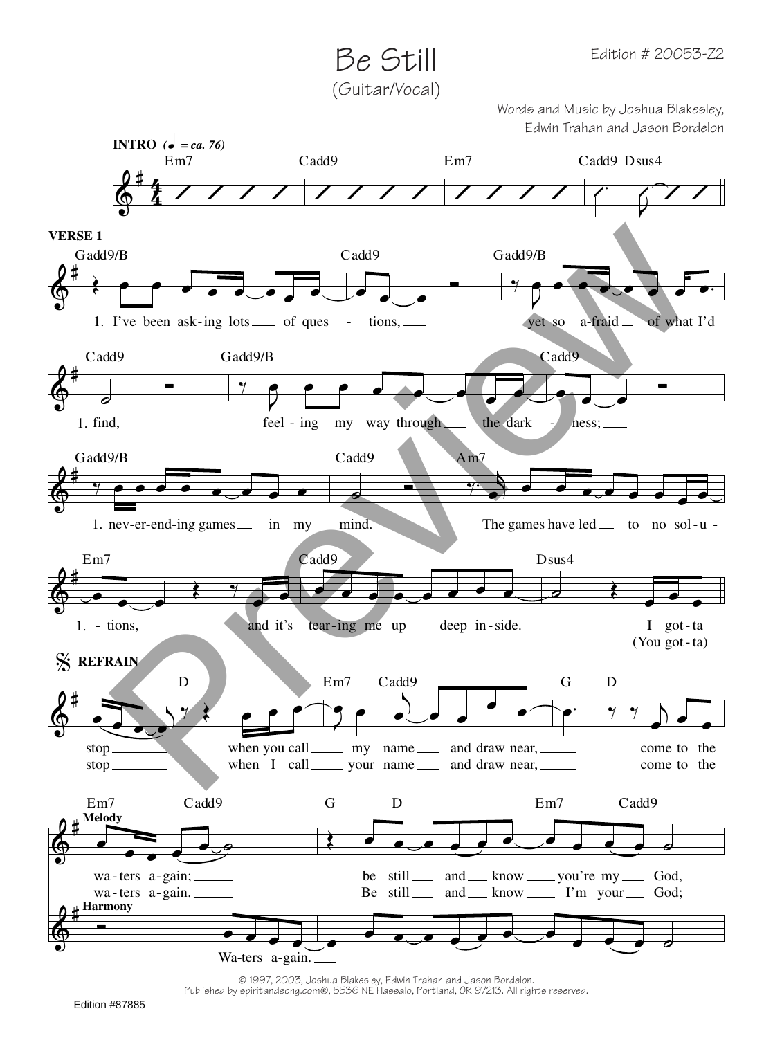Be Still (Guitar/Vocal)

> Words and Music by Joshua Blakesley, Edwin Trahan and Jason Bordelon



© 1997, 2003, Joshua Blakesley, Edwin Trahan and Jason Bordelon. Published by spiritandsong.com®, 5536 NE Hassalo, Portland, OR 97213. All rights reserved.